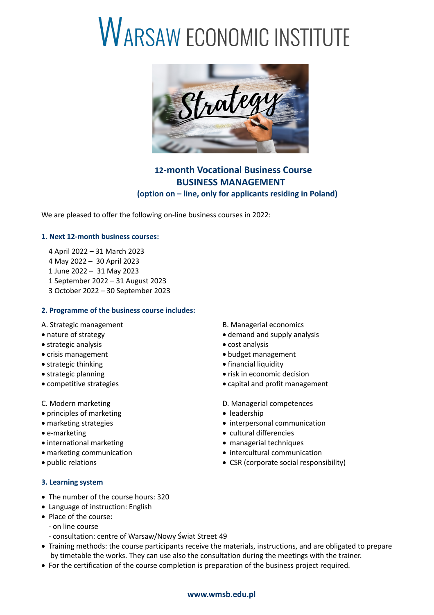# WARSAW ECONOMIC INSTITUTE



## **12-month Vocational Business Course BUSINESS MANAGEMENT (option on – line, only for applicants residing in Poland)**

We are pleased to offer the following on-line business courses in 2022:

### **1. Next 12-month business courses:**

- 4 April 2022 31 March 2023
- 4 May 2022 30 April 2023
- 1 June 2022 31 May 2023
- 1 September 2022 31 August 2023
- 3 October 2022 30 September 2023

#### **2. Programme of the business course includes:**

- 
- strategic analysis **cost analysis** cost analysis
- crisis management **budget management**
- strategic thinking strategic thinking strategic thinking strategic measurement of  $\bullet$  financial liquidity
- 
- 
- 
- principles of marketing  $\bullet$  leadership
- 
- 
- international marketing and the managerial techniques
- 
- 

#### **3. Learning system**

- The number of the course hours: 320
- Language of instruction: English
- Place of the course:
	- on line course
	- consultation: centre of Warsaw/Nowy Świat Street 49
- Training methods: the course participants receive the materials, instructions, and are obligated to prepare by timetable the works. They can use also the consultation during the meetings with the trainer.
- For the certification of the course completion is preparation of the business project required.

#### A. Strategic management and B. Managerial economics

- nature of strategy and supply analysis
	-
	-
	-
- strategic planning extrategic planning extrategic planning
- competitive strategies **competitive** capital and profit management
- C. Modern marketing D. Managerial competences
	-
- marketing strategies **interpersonal communication**
- e-marketing example and the cultural differencies
	-
- marketing communication  $\bullet$  intercultural communication
- public relations CSR (corporate social responsibility)

#### **www.wmsb.edu.pl**